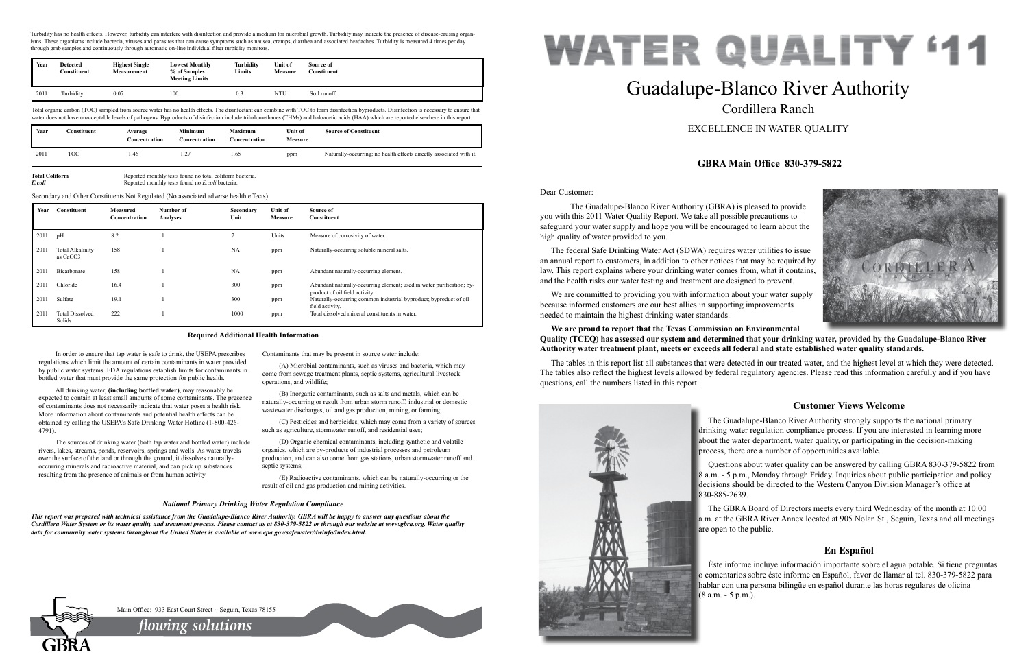Dear Customer:

 The Guadalupe-Blanco River Authority (GBRA) is pleased to provide you with this 2011 Water Quality Report. We take all possible precautions to safeguard your water supply and hope you will be encouraged to learn about the high quality of water provided to you.

We are committed to providing you with information about your water supply because informed customers are our best allies in supporting improvements needed to maintain the highest drinking water standards.

The federal Safe Drinking Water Act (SDWA) requires water utilities to issue an annual report to customers, in addition to other notices that may be required by law. This report explains where your drinking water comes from, what it contains, and the health risks our water testing and treatment are designed to prevent.

## **We are proud to report that the Texas Commission on Environmental Quality (TCEQ) has assessed our system and determined that your drinking water, provided by the Guadalupe-Blanco River Authority water treatment plant, meets or exceeds all federal and state established water quality standards.**

The tables in this report list all substances that were detected in our treated water, and the highest level at which they were detected. The tables also reflect the highest levels allowed by federal regulatory agencies. Please read this information carefully and if you have questions, call the numbers listed in this report.



# Guadalupe-Blanco River Authority Cordillera Ranch EXCELLENCE IN WATER QUALITY

## **GBRA Main Office 830-379-5822**

## **Customer Views Welcome**

The Guadalupe-Blanco River Authority strongly supports the national primary drinking water regulation compliance process. If you are interested in learning more about the water department, water quality, or participating in the decision-making process, there are a number of opportunities available.

Questions about water quality can be answered by calling GBRA 830-379-5822 from 8 a.m. - 5 p.m., Monday through Friday. Inquiries about public participation and policy decisions should be directed to the Western Canyon Division Manager's office at 830-885-2639.

The GBRA Board of Directors meets every third Wednesday of the month at 10:00 a.m. at the GBRA River Annex located at 905 Nolan St., Seguin, Texas and all meetings are open to the public.

## **En Español**

Éste informe incluye información importante sobre el agua potable. Si tiene preguntas o comentarios sobre éste informe en Español, favor de llamar al tel. 830-379-5822 para hablar con una persona bilingüe en español durante las horas regulares de oficina (8 a.m. - 5 p.m.).



In order to ensure that tap water is safe to drink, the USEPA prescribes regulations which limit the amount of certain contaminants in water provided by public water systems. FDA regulations establish limits for contaminants in bottled water that must provide the same protection for public health.

Turbidity has no health effects. However, turbidity can interfere with disinfection and provide a medium for microbial growth. Turbidity may indicate the presence of disease-causing organisms. These organisms include bacteria, viruses and parasites that can cause symptoms such as nausea, cramps, diarrhea and associated headaches. Turbidity is measured 4 times per day through grab samples and continuously through automatic on-line individual filter turbidity monitors.

Total organic carbon (TOC) sampled from source water has no health effects. The disinfectant can combine with TOC to form disinfection byproducts. Disinfection is necessary to ensure that water does not have unacceptable levels of pathogens. Byproducts of disinfection include trihalomethanes (THMs) and haloacetic acids (HAA) which are reported elsewhere in this report.

All drinking water, **(including bottled water)**, may reasonably be expected to contain at least small amounts of some contaminants. The presence of contaminants does not necessarily indicate that water poses a health risk. More information about contaminants and potential health effects can be obtained by calling the USEPA's Safe Drinking Water Hotline (1-800-426-

4791).

Main Office: 933 East Court Street ~ Seguin, Texas 78155

The sources of drinking water (both tap water and bottled water) include rivers, lakes, streams, ponds, reservoirs, springs and wells. As water travels over the surface of the land or through the ground, it dissolves naturallyoccurring minerals and radioactive material, and can pick up substances resulting from the presence of animals or from human activity.

Contaminants that may be present in source water include:

(A) Microbial contaminants, such as viruses and bacteria, which may come from sewage treatment plants, septic systems, agricultural livestock operations, and wildlife;

(B) Inorganic contaminants, such as salts and metals, which can be naturally-occurring or result from urban storm runoff, industrial or domestic wastewater discharges, oil and gas production, mining, or farming;

(C) Pesticides and herbicides, which may come from a variety of sources such as agriculture, stormwater runoff, and residential uses;

(D) Organic chemical contaminants, including synthetic and volatile organics, which are by-products of industrial processes and petroleum production, and can also come from gas stations, urban stormwater runoff and septic systems;

(E) Radioactive contaminants, which can be naturally-occurring or the result of oil and gas production and mining activities.

### **Required Additional Health Information**

#### *National Primary Drinking Water Regulation Compliance*

*This report was prepared with technical assistance from the Guadalupe-Blanco River Authority. GBRA will be happy to answer any questions about the Cordillera Water System or its water quality and treatment process. Please contact us at 830-379-5822 or through our website at www.gbra.org. Water quality data for community water systems throughout the United States is available at www.epa.gov/safewater/dwinfo/index.html.*



| Year | Detected<br><b>Constituent</b> | <b>Highest Single</b><br>Measurement | <b>Lowest Monthly</b><br>% of Samples<br><b>Meeting Limits</b> | <b>Turbidity</b><br><b>Limits</b> | <b>Unit of</b><br>Measure | Source of<br>Constituent |
|------|--------------------------------|--------------------------------------|----------------------------------------------------------------|-----------------------------------|---------------------------|--------------------------|
| 2011 | Turbidity                      | 0.07                                 | 100                                                            | 0.5                               | NTU                       | Soil runoff.             |

| Year | Constituent | Average<br>C <b>oncentration</b> | Minimum<br>Concentration | <b>Maximum</b><br>Concentration | <b>Unit of</b><br><b>Measure</b> | <b>Source of Constituent</b>                                        |
|------|-------------|----------------------------------|--------------------------|---------------------------------|----------------------------------|---------------------------------------------------------------------|
| 2011 | TOC         | l.46                             | 1.2                      | 1.65                            | ppm                              | Naturally-occurring; no health effects directly associated with it. |

**Total Coliform** Reported monthly tests found no total coliform bacteria. *E.coli* Reported monthly tests found no *E.coli* bacteria.

| Year | Constituent                                     | <b>Measured</b><br>Concentration | Number of<br>Analyses | Secondary<br>Unit | <b>Unit of</b><br><b>Measure</b> | Source of<br><b>Constituent</b>                                                                         |
|------|-------------------------------------------------|----------------------------------|-----------------------|-------------------|----------------------------------|---------------------------------------------------------------------------------------------------------|
| 2011 | pH                                              | 8.2                              |                       |                   | Units                            | Measure of corrosivity of water.                                                                        |
| 2011 | <b>Total Alkalinity</b><br>as CaCO <sub>3</sub> | 158                              |                       | <b>NA</b>         | ppm                              | Naturally-occurring soluble mineral salts.                                                              |
| 2011 | Bicarbonate                                     | 158                              |                       | NA                | ppm                              | Abundant naturally-occurring element.                                                                   |
| 2011 | Chloride                                        | 16.4                             |                       | 300               | ppm                              | Abundant naturally-occurring element; used in water purification; by-<br>product of oil field activity. |
| 2011 | Sulfate                                         | 19.1                             |                       | 300               | ppm                              | Naturally-occurring common industrial byproduct; byproduct of oil<br>field activity.                    |
| 2011 | <b>Total Dissolved</b><br>Solids                | 222                              |                       | 1000              | ppm                              | Total dissolved mineral constituents in water.                                                          |

Secondary and Other Constituents Not Regulated (No associated adverse health effects)

*flowing solutions*